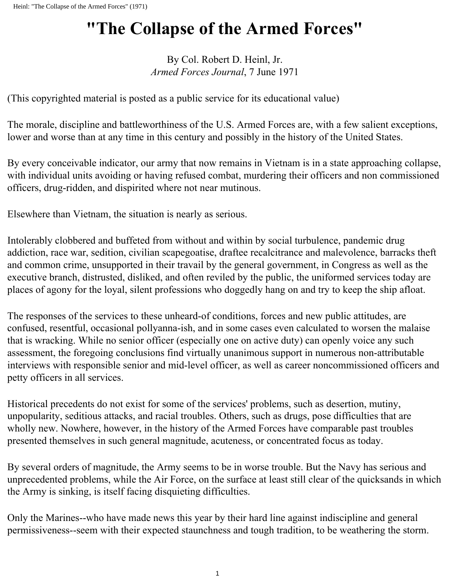# **"The Collapse of the Armed Forces"**

By Col. Robert D. Heinl, Jr. *Armed Forces Journal*, 7 June 1971

(This copyrighted material is posted as a public service for its educational value)

The morale, discipline and battleworthiness of the U.S. Armed Forces are, with a few salient exceptions, lower and worse than at any time in this century and possibly in the history of the United States.

By every conceivable indicator, our army that now remains in Vietnam is in a state approaching collapse, with individual units avoiding or having refused combat, murdering their officers and non commissioned officers, drug-ridden, and dispirited where not near mutinous.

Elsewhere than Vietnam, the situation is nearly as serious.

Intolerably clobbered and buffeted from without and within by social turbulence, pandemic drug addiction, race war, sedition, civilian scapegoatise, draftee recalcitrance and malevolence, barracks theft and common crime, unsupported in their travail by the general government, in Congress as well as the executive branch, distrusted, disliked, and often reviled by the public, the uniformed services today are places of agony for the loyal, silent professions who doggedly hang on and try to keep the ship afloat.

The responses of the services to these unheard-of conditions, forces and new public attitudes, are confused, resentful, occasional pollyanna-ish, and in some cases even calculated to worsen the malaise that is wracking. While no senior officer (especially one on active duty) can openly voice any such assessment, the foregoing conclusions find virtually unanimous support in numerous non-attributable interviews with responsible senior and mid-level officer, as well as career noncommissioned officers and petty officers in all services.

Historical precedents do not exist for some of the services' problems, such as desertion, mutiny, unpopularity, seditious attacks, and racial troubles. Others, such as drugs, pose difficulties that are wholly new. Nowhere, however, in the history of the Armed Forces have comparable past troubles presented themselves in such general magnitude, acuteness, or concentrated focus as today.

By several orders of magnitude, the Army seems to be in worse trouble. But the Navy has serious and unprecedented problems, while the Air Force, on the surface at least still clear of the quicksands in which the Army is sinking, is itself facing disquieting difficulties.

Only the Marines--who have made news this year by their hard line against indiscipline and general permissiveness--seem with their expected staunchness and tough tradition, to be weathering the storm.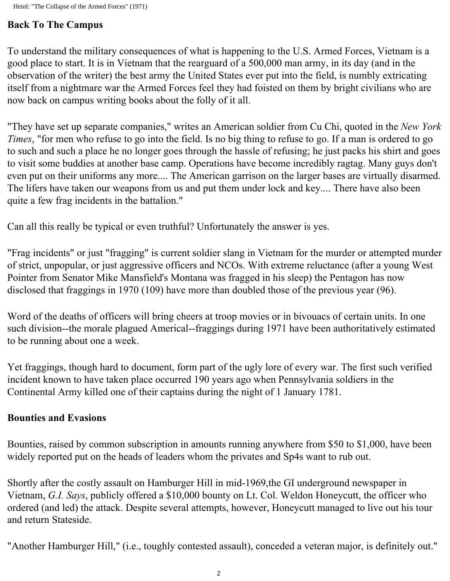Heinl: "The Collapse of the Armed Forces" (1971)

#### **Back To The Campus**

To understand the military consequences of what is happening to the U.S. Armed Forces, Vietnam is a good place to start. It is in Vietnam that the rearguard of a 500,000 man army, in its day (and in the observation of the writer) the best army the United States ever put into the field, is numbly extricating itself from a nightmare war the Armed Forces feel they had foisted on them by bright civilians who are now back on campus writing books about the folly of it all.

"They have set up separate companies," writes an American soldier from Cu Chi, quoted in the *New York Times*, "for men who refuse to go into the field. Is no big thing to refuse to go. If a man is ordered to go to such and such a place he no longer goes through the hassle of refusing; he just packs his shirt and goes to visit some buddies at another base camp. Operations have become incredibly ragtag. Many guys don't even put on their uniforms any more.... The American garrison on the larger bases are virtually disarmed. The lifers have taken our weapons from us and put them under lock and key.... There have also been quite a few frag incidents in the battalion."

Can all this really be typical or even truthful? Unfortunately the answer is yes.

"Frag incidents" or just "fragging" is current soldier slang in Vietnam for the murder or attempted murder of strict, unpopular, or just aggressive officers and NCOs. With extreme reluctance (after a young West Pointer from Senator Mike Mansfield's Montana was fragged in his sleep) the Pentagon has now disclosed that fraggings in 1970 (109) have more than doubled those of the previous year (96).

Word of the deaths of officers will bring cheers at troop movies or in bivouacs of certain units. In one such division--the morale plagued Americal--fraggings during 1971 have been authoritatively estimated to be running about one a week.

Yet fraggings, though hard to document, form part of the ugly lore of every war. The first such verified incident known to have taken place occurred 190 years ago when Pennsylvania soldiers in the Continental Army killed one of their captains during the night of 1 January 1781.

#### **Bounties and Evasions**

Bounties, raised by common subscription in amounts running anywhere from \$50 to \$1,000, have been widely reported put on the heads of leaders whom the privates and Sp4s want to rub out.

Shortly after the costly assault on Hamburger Hill in mid-1969,the GI underground newspaper in Vietnam, *G.I. Says*, publicly offered a \$10,000 bounty on Lt. Col. Weldon Honeycutt, the officer who ordered (and led) the attack. Despite several attempts, however, Honeycutt managed to live out his tour and return Stateside.

"Another Hamburger Hill," (i.e., toughly contested assault), conceded a veteran major, is definitely out."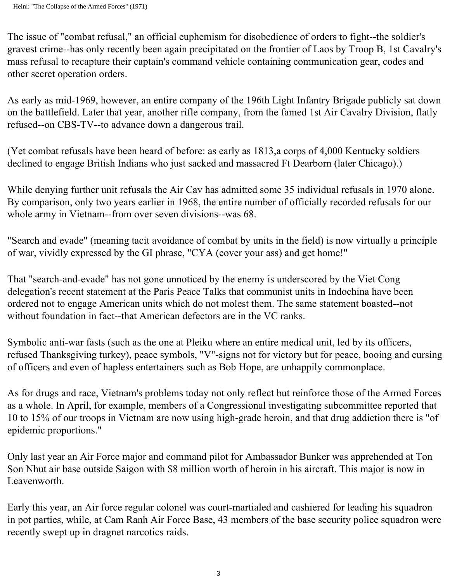The issue of "combat refusal," an official euphemism for disobedience of orders to fight--the soldier's gravest crime--has only recently been again precipitated on the frontier of Laos by Troop B, 1st Cavalry's mass refusal to recapture their captain's command vehicle containing communication gear, codes and other secret operation orders.

As early as mid-1969, however, an entire company of the 196th Light Infantry Brigade publicly sat down on the battlefield. Later that year, another rifle company, from the famed 1st Air Cavalry Division, flatly refused--on CBS-TV--to advance down a dangerous trail.

(Yet combat refusals have been heard of before: as early as 1813,a corps of 4,000 Kentucky soldiers declined to engage British Indians who just sacked and massacred Ft Dearborn (later Chicago).)

While denying further unit refusals the Air Cav has admitted some 35 individual refusals in 1970 alone. By comparison, only two years earlier in 1968, the entire number of officially recorded refusals for our whole army in Vietnam--from over seven divisions--was 68.

"Search and evade" (meaning tacit avoidance of combat by units in the field) is now virtually a principle of war, vividly expressed by the GI phrase, "CYA (cover your ass) and get home!"

That "search-and-evade" has not gone unnoticed by the enemy is underscored by the Viet Cong delegation's recent statement at the Paris Peace Talks that communist units in Indochina have been ordered not to engage American units which do not molest them. The same statement boasted--not without foundation in fact--that American defectors are in the VC ranks.

Symbolic anti-war fasts (such as the one at Pleiku where an entire medical unit, led by its officers, refused Thanksgiving turkey), peace symbols, "V"-signs not for victory but for peace, booing and cursing of officers and even of hapless entertainers such as Bob Hope, are unhappily commonplace.

As for drugs and race, Vietnam's problems today not only reflect but reinforce those of the Armed Forces as a whole. In April, for example, members of a Congressional investigating subcommittee reported that 10 to 15% of our troops in Vietnam are now using high-grade heroin, and that drug addiction there is "of epidemic proportions."

Only last year an Air Force major and command pilot for Ambassador Bunker was apprehended at Ton Son Nhut air base outside Saigon with \$8 million worth of heroin in his aircraft. This major is now in Leavenworth.

Early this year, an Air force regular colonel was court-martialed and cashiered for leading his squadron in pot parties, while, at Cam Ranh Air Force Base, 43 members of the base security police squadron were recently swept up in dragnet narcotics raids.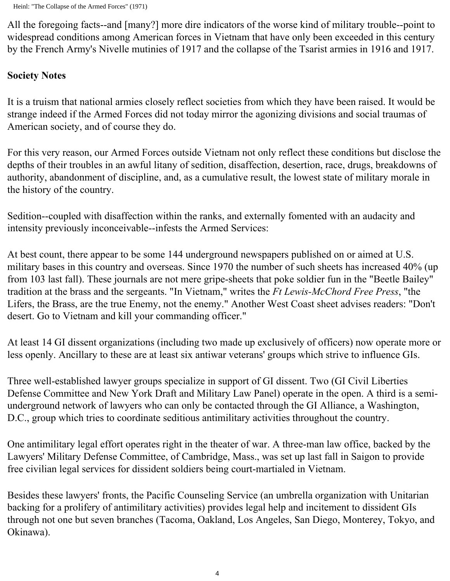All the foregoing facts--and [many?] more dire indicators of the worse kind of military trouble--point to widespread conditions among American forces in Vietnam that have only been exceeded in this century by the French Army's Nivelle mutinies of 1917 and the collapse of the Tsarist armies in 1916 and 1917.

### **Society Notes**

It is a truism that national armies closely reflect societies from which they have been raised. It would be strange indeed if the Armed Forces did not today mirror the agonizing divisions and social traumas of American society, and of course they do.

For this very reason, our Armed Forces outside Vietnam not only reflect these conditions but disclose the depths of their troubles in an awful litany of sedition, disaffection, desertion, race, drugs, breakdowns of authority, abandonment of discipline, and, as a cumulative result, the lowest state of military morale in the history of the country.

Sedition--coupled with disaffection within the ranks, and externally fomented with an audacity and intensity previously inconceivable--infests the Armed Services:

At best count, there appear to be some 144 underground newspapers published on or aimed at U.S. military bases in this country and overseas. Since 1970 the number of such sheets has increased 40% (up from 103 last fall). These journals are not mere gripe-sheets that poke soldier fun in the "Beetle Bailey" tradition at the brass and the sergeants. "In Vietnam," writes the *Ft Lewis-McChord Free Press*, "the Lifers, the Brass, are the true Enemy, not the enemy." Another West Coast sheet advises readers: "Don't desert. Go to Vietnam and kill your commanding officer."

At least 14 GI dissent organizations (including two made up exclusively of officers) now operate more or less openly. Ancillary to these are at least six antiwar veterans' groups which strive to influence GIs.

Three well-established lawyer groups specialize in support of GI dissent. Two (GI Civil Liberties Defense Committee and New York Draft and Military Law Panel) operate in the open. A third is a semiunderground network of lawyers who can only be contacted through the GI Alliance, a Washington, D.C., group which tries to coordinate seditious antimilitary activities throughout the country.

One antimilitary legal effort operates right in the theater of war. A three-man law office, backed by the Lawyers' Military Defense Committee, of Cambridge, Mass., was set up last fall in Saigon to provide free civilian legal services for dissident soldiers being court-martialed in Vietnam.

Besides these lawyers' fronts, the Pacific Counseling Service (an umbrella organization with Unitarian backing for a prolifery of antimilitary activities) provides legal help and incitement to dissident GIs through not one but seven branches (Tacoma, Oakland, Los Angeles, San Diego, Monterey, Tokyo, and Okinawa).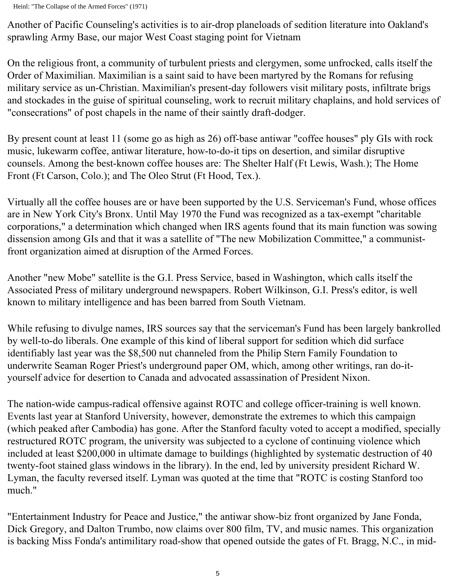Another of Pacific Counseling's activities is to air-drop planeloads of sedition literature into Oakland's sprawling Army Base, our major West Coast staging point for Vietnam

On the religious front, a community of turbulent priests and clergymen, some unfrocked, calls itself the Order of Maximilian. Maximilian is a saint said to have been martyred by the Romans for refusing military service as un-Christian. Maximilian's present-day followers visit military posts, infiltrate brigs and stockades in the guise of spiritual counseling, work to recruit military chaplains, and hold services of "consecrations" of post chapels in the name of their saintly draft-dodger.

By present count at least 11 (some go as high as 26) off-base antiwar "coffee houses" ply GIs with rock music, lukewarm coffee, antiwar literature, how-to-do-it tips on desertion, and similar disruptive counsels. Among the best-known coffee houses are: The Shelter Half (Ft Lewis, Wash.); The Home Front (Ft Carson, Colo.); and The Oleo Strut (Ft Hood, Tex.).

Virtually all the coffee houses are or have been supported by the U.S. Serviceman's Fund, whose offices are in New York City's Bronx. Until May 1970 the Fund was recognized as a tax-exempt "charitable corporations," a determination which changed when IRS agents found that its main function was sowing dissension among GIs and that it was a satellite of "The new Mobilization Committee," a communistfront organization aimed at disruption of the Armed Forces.

Another "new Mobe" satellite is the G.I. Press Service, based in Washington, which calls itself the Associated Press of military underground newspapers. Robert Wilkinson, G.I. Press's editor, is well known to military intelligence and has been barred from South Vietnam.

While refusing to divulge names, IRS sources say that the serviceman's Fund has been largely bankrolled by well-to-do liberals. One example of this kind of liberal support for sedition which did surface identifiably last year was the \$8,500 nut channeled from the Philip Stern Family Foundation to underwrite Seaman Roger Priest's underground paper OM, which, among other writings, ran do-ityourself advice for desertion to Canada and advocated assassination of President Nixon.

The nation-wide campus-radical offensive against ROTC and college officer-training is well known. Events last year at Stanford University, however, demonstrate the extremes to which this campaign (which peaked after Cambodia) has gone. After the Stanford faculty voted to accept a modified, specially restructured ROTC program, the university was subjected to a cyclone of continuing violence which included at least \$200,000 in ultimate damage to buildings (highlighted by systematic destruction of 40 twenty-foot stained glass windows in the library). In the end, led by university president Richard W. Lyman, the faculty reversed itself. Lyman was quoted at the time that "ROTC is costing Stanford too much."

"Entertainment Industry for Peace and Justice," the antiwar show-biz front organized by Jane Fonda, Dick Gregory, and Dalton Trumbo, now claims over 800 film, TV, and music names. This organization is backing Miss Fonda's antimilitary road-show that opened outside the gates of Ft. Bragg, N.C., in mid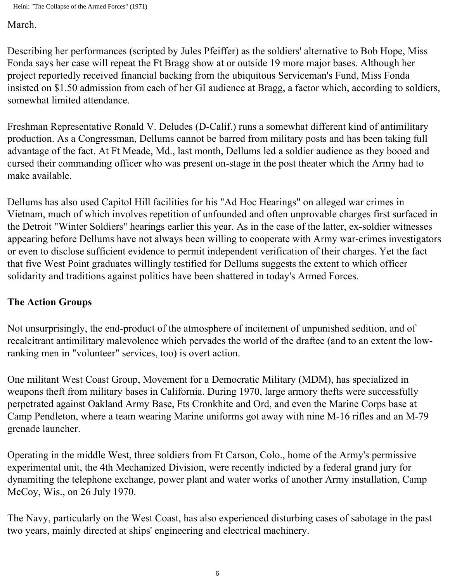Heinl: "The Collapse of the Armed Forces" (1971)

March.

Describing her performances (scripted by Jules Pfeiffer) as the soldiers' alternative to Bob Hope, Miss Fonda says her case will repeat the Ft Bragg show at or outside 19 more major bases. Although her project reportedly received financial backing from the ubiquitous Serviceman's Fund, Miss Fonda insisted on \$1.50 admission from each of her GI audience at Bragg, a factor which, according to soldiers, somewhat limited attendance.

Freshman Representative Ronald V. Deludes (D-Calif.) runs a somewhat different kind of antimilitary production. As a Congressman, Dellums cannot be barred from military posts and has been taking full advantage of the fact. At Ft Meade, Md., last month, Dellums led a soldier audience as they booed and cursed their commanding officer who was present on-stage in the post theater which the Army had to make available.

Dellums has also used Capitol Hill facilities for his "Ad Hoc Hearings" on alleged war crimes in Vietnam, much of which involves repetition of unfounded and often unprovable charges first surfaced in the Detroit "Winter Soldiers" hearings earlier this year. As in the case of the latter, ex-soldier witnesses appearing before Dellums have not always been willing to cooperate with Army war-crimes investigators or even to disclose sufficient evidence to permit independent verification of their charges. Yet the fact that five West Point graduates willingly testified for Dellums suggests the extent to which officer solidarity and traditions against politics have been shattered in today's Armed Forces.

# **The Action Groups**

Not unsurprisingly, the end-product of the atmosphere of incitement of unpunished sedition, and of recalcitrant antimilitary malevolence which pervades the world of the draftee (and to an extent the lowranking men in "volunteer" services, too) is overt action.

One militant West Coast Group, Movement for a Democratic Military (MDM), has specialized in weapons theft from military bases in California. During 1970, large armory thefts were successfully perpetrated against Oakland Army Base, Fts Cronkhite and Ord, and even the Marine Corps base at Camp Pendleton, where a team wearing Marine uniforms got away with nine M-16 rifles and an M-79 grenade launcher.

Operating in the middle West, three soldiers from Ft Carson, Colo., home of the Army's permissive experimental unit, the 4th Mechanized Division, were recently indicted by a federal grand jury for dynamiting the telephone exchange, power plant and water works of another Army installation, Camp McCoy, Wis., on 26 July 1970.

The Navy, particularly on the West Coast, has also experienced disturbing cases of sabotage in the past two years, mainly directed at ships' engineering and electrical machinery.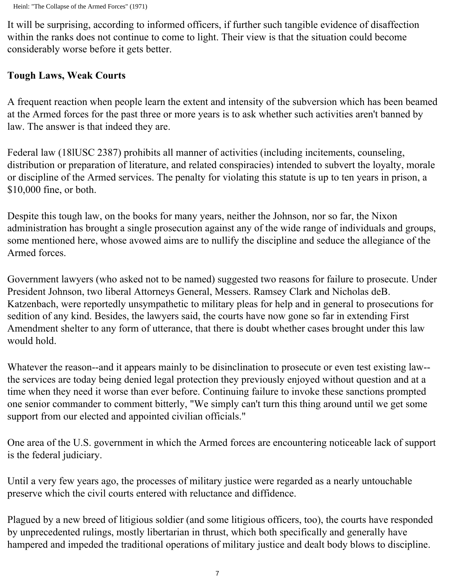It will be surprising, according to informed officers, if further such tangible evidence of disaffection within the ranks does not continue to come to light. Their view is that the situation could become considerably worse before it gets better.

## **Tough Laws, Weak Courts**

A frequent reaction when people learn the extent and intensity of the subversion which has been beamed at the Armed forces for the past three or more years is to ask whether such activities aren't banned by law. The answer is that indeed they are.

Federal law (18lUSC 2387) prohibits all manner of activities (including incitements, counseling, distribution or preparation of literature, and related conspiracies) intended to subvert the loyalty, morale or discipline of the Armed services. The penalty for violating this statute is up to ten years in prison, a \$10,000 fine, or both.

Despite this tough law, on the books for many years, neither the Johnson, nor so far, the Nixon administration has brought a single prosecution against any of the wide range of individuals and groups, some mentioned here, whose avowed aims are to nullify the discipline and seduce the allegiance of the Armed forces.

Government lawyers (who asked not to be named) suggested two reasons for failure to prosecute. Under President Johnson, two liberal Attorneys General, Messers. Ramsey Clark and Nicholas deB. Katzenbach, were reportedly unsympathetic to military pleas for help and in general to prosecutions for sedition of any kind. Besides, the lawyers said, the courts have now gone so far in extending First Amendment shelter to any form of utterance, that there is doubt whether cases brought under this law would hold.

Whatever the reason--and it appears mainly to be disinclination to prosecute or even test existing law- the services are today being denied legal protection they previously enjoyed without question and at a time when they need it worse than ever before. Continuing failure to invoke these sanctions prompted one senior commander to comment bitterly, "We simply can't turn this thing around until we get some support from our elected and appointed civilian officials."

One area of the U.S. government in which the Armed forces are encountering noticeable lack of support is the federal judiciary.

Until a very few years ago, the processes of military justice were regarded as a nearly untouchable preserve which the civil courts entered with reluctance and diffidence.

Plagued by a new breed of litigious soldier (and some litigious officers, too), the courts have responded by unprecedented rulings, mostly libertarian in thrust, which both specifically and generally have hampered and impeded the traditional operations of military justice and dealt body blows to discipline.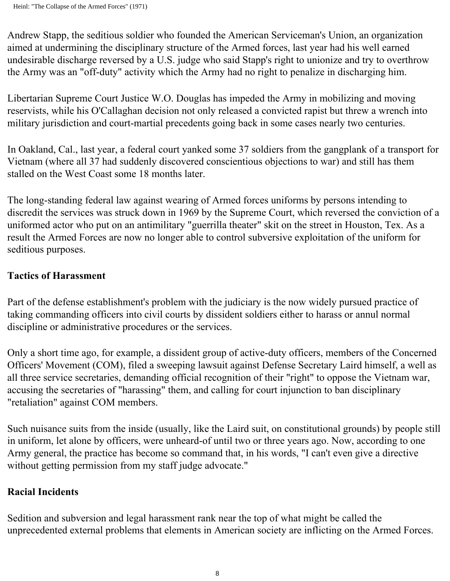Andrew Stapp, the seditious soldier who founded the American Serviceman's Union, an organization aimed at undermining the disciplinary structure of the Armed forces, last year had his well earned undesirable discharge reversed by a U.S. judge who said Stapp's right to unionize and try to overthrow the Army was an "off-duty" activity which the Army had no right to penalize in discharging him.

Libertarian Supreme Court Justice W.O. Douglas has impeded the Army in mobilizing and moving reservists, while his O'Callaghan decision not only released a convicted rapist but threw a wrench into military jurisdiction and court-martial precedents going back in some cases nearly two centuries.

In Oakland, Cal., last year, a federal court yanked some 37 soldiers from the gangplank of a transport for Vietnam (where all 37 had suddenly discovered conscientious objections to war) and still has them stalled on the West Coast some 18 months later.

The long-standing federal law against wearing of Armed forces uniforms by persons intending to discredit the services was struck down in 1969 by the Supreme Court, which reversed the conviction of a uniformed actor who put on an antimilitary "guerrilla theater" skit on the street in Houston, Tex. As a result the Armed Forces are now no longer able to control subversive exploitation of the uniform for seditious purposes.

## **Tactics of Harassment**

Part of the defense establishment's problem with the judiciary is the now widely pursued practice of taking commanding officers into civil courts by dissident soldiers either to harass or annul normal discipline or administrative procedures or the services.

Only a short time ago, for example, a dissident group of active-duty officers, members of the Concerned Officers' Movement (COM), filed a sweeping lawsuit against Defense Secretary Laird himself, a well as all three service secretaries, demanding official recognition of their "right" to oppose the Vietnam war, accusing the secretaries of "harassing" them, and calling for court injunction to ban disciplinary "retaliation" against COM members.

Such nuisance suits from the inside (usually, like the Laird suit, on constitutional grounds) by people still in uniform, let alone by officers, were unheard-of until two or three years ago. Now, according to one Army general, the practice has become so command that, in his words, "I can't even give a directive without getting permission from my staff judge advocate."

# **Racial Incidents**

Sedition and subversion and legal harassment rank near the top of what might be called the unprecedented external problems that elements in American society are inflicting on the Armed Forces.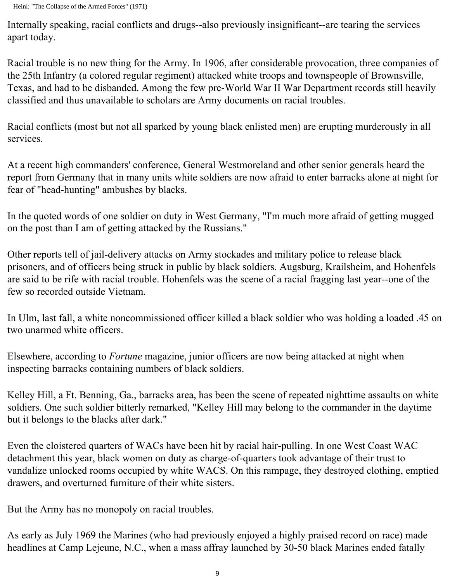Internally speaking, racial conflicts and drugs--also previously insignificant--are tearing the services apart today.

Racial trouble is no new thing for the Army. In 1906, after considerable provocation, three companies of the 25th Infantry (a colored regular regiment) attacked white troops and townspeople of Brownsville, Texas, and had to be disbanded. Among the few pre-World War II War Department records still heavily classified and thus unavailable to scholars are Army documents on racial troubles.

Racial conflicts (most but not all sparked by young black enlisted men) are erupting murderously in all services.

At a recent high commanders' conference, General Westmoreland and other senior generals heard the report from Germany that in many units white soldiers are now afraid to enter barracks alone at night for fear of "head-hunting" ambushes by blacks.

In the quoted words of one soldier on duty in West Germany, "I'm much more afraid of getting mugged on the post than I am of getting attacked by the Russians."

Other reports tell of jail-delivery attacks on Army stockades and military police to release black prisoners, and of officers being struck in public by black soldiers. Augsburg, Krailsheim, and Hohenfels are said to be rife with racial trouble. Hohenfels was the scene of a racial fragging last year--one of the few so recorded outside Vietnam.

In Ulm, last fall, a white noncommissioned officer killed a black soldier who was holding a loaded .45 on two unarmed white officers.

Elsewhere, according to *Fortune* magazine, junior officers are now being attacked at night when inspecting barracks containing numbers of black soldiers.

Kelley Hill, a Ft. Benning, Ga., barracks area, has been the scene of repeated nighttime assaults on white soldiers. One such soldier bitterly remarked, "Kelley Hill may belong to the commander in the daytime but it belongs to the blacks after dark."

Even the cloistered quarters of WACs have been hit by racial hair-pulling. In one West Coast WAC detachment this year, black women on duty as charge-of-quarters took advantage of their trust to vandalize unlocked rooms occupied by white WACS. On this rampage, they destroyed clothing, emptied drawers, and overturned furniture of their white sisters.

But the Army has no monopoly on racial troubles.

As early as July 1969 the Marines (who had previously enjoyed a highly praised record on race) made headlines at Camp Lejeune, N.C., when a mass affray launched by 30-50 black Marines ended fatally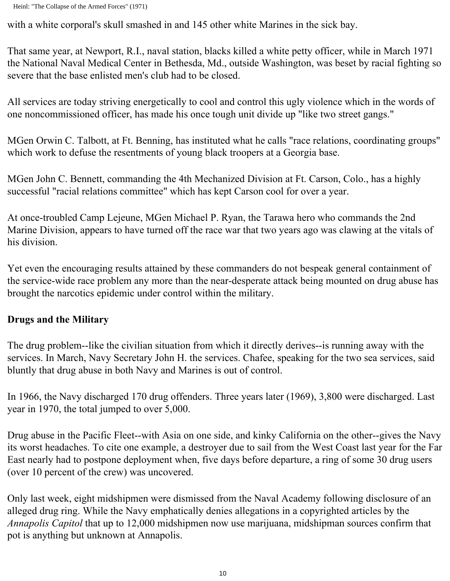with a white corporal's skull smashed in and 145 other white Marines in the sick bay.

That same year, at Newport, R.I., naval station, blacks killed a white petty officer, while in March 1971 the National Naval Medical Center in Bethesda, Md., outside Washington, was beset by racial fighting so severe that the base enlisted men's club had to be closed.

All services are today striving energetically to cool and control this ugly violence which in the words of one noncommissioned officer, has made his once tough unit divide up "like two street gangs."

MGen Orwin C. Talbott, at Ft. Benning, has instituted what he calls "race relations, coordinating groups" which work to defuse the resentments of young black troopers at a Georgia base.

MGen John C. Bennett, commanding the 4th Mechanized Division at Ft. Carson, Colo., has a highly successful "racial relations committee" which has kept Carson cool for over a year.

At once-troubled Camp Lejeune, MGen Michael P. Ryan, the Tarawa hero who commands the 2nd Marine Division, appears to have turned off the race war that two years ago was clawing at the vitals of his division.

Yet even the encouraging results attained by these commanders do not bespeak general containment of the service-wide race problem any more than the near-desperate attack being mounted on drug abuse has brought the narcotics epidemic under control within the military.

## **Drugs and the Military**

The drug problem--like the civilian situation from which it directly derives--is running away with the services. In March, Navy Secretary John H. the services. Chafee, speaking for the two sea services, said bluntly that drug abuse in both Navy and Marines is out of control.

In 1966, the Navy discharged 170 drug offenders. Three years later (1969), 3,800 were discharged. Last year in 1970, the total jumped to over 5,000.

Drug abuse in the Pacific Fleet--with Asia on one side, and kinky California on the other--gives the Navy its worst headaches. To cite one example, a destroyer due to sail from the West Coast last year for the Far East nearly had to postpone deployment when, five days before departure, a ring of some 30 drug users (over 10 percent of the crew) was uncovered.

Only last week, eight midshipmen were dismissed from the Naval Academy following disclosure of an alleged drug ring. While the Navy emphatically denies allegations in a copyrighted articles by the *Annapolis Capitol* that up to 12,000 midshipmen now use marijuana, midshipman sources confirm that pot is anything but unknown at Annapolis.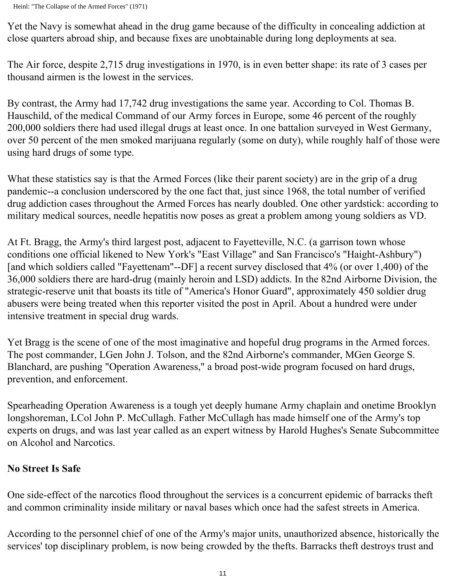Yet the Navy is somewhat ahead in the drug game because of the difficulty in concealing addiction at close quarters abroad ship, and because fixes are unobtainable during long deployments at sea.

The Air force, despite 2,715 drug investigations in 1970, is in even better shape: its rate of 3 cases per thousand airmen is the lowest in the services.

By contrast, the Army had 17,742 drug investigations the same year. According to Col. Thomas B. Hauschild, of the medical Command of our Army forces in Europe, some 46 percent of the roughly 200,000 soldiers there had used illegal drugs at least once. In one battalion surveyed in West Germany, over 50 percent of the men smoked marijuana regularly (some on duty), while roughly half of those were using hard drugs of some type.

What these statistics say is that the Armed Forces (like their parent society) are in the grip of a drug pandemic--a conclusion underscored by the one fact that, just since 1968, the total number of verified drug addiction cases throughout the Armed Forces has nearly doubled. One other yardstick: according to military medical sources, needle hepatitis now poses as great a problem among young soldiers as VD.

At Ft. Bragg, the Army's third largest post, adjacent to Fayetteville, N.C. (a garrison town whose conditions one official likened to New York's "East Village" and San Francisco's "Haight-Ashbury") [and which soldiers called "Fayettenam"--DF] a recent survey disclosed that 4% (or over 1,400) of the 36,000 soldiers there are hard-drug (mainly heroin and LSD) addicts. In the 82nd Airborne Division, the strategic-reserve unit that boasts its title of "America's Honor Guard", approximately 450 soldier drug abusers were being treated when this reporter visited the post in April. About a hundred were under intensive treatment in special drug wards.

Yet Bragg is the scene of one of the most imaginative and hopeful drug programs in the Armed forces. The post commander, LGen John J. Tolson, and the 82nd Airborne's commander, MGen George S. Blanchard, are pushing "Operation Awareness," a broad post-wide program focused on hard drugs, prevention, and enforcement.

Spearheading Operation Awareness is a tough yet deeply humane Army chaplain and onetime Brooklyn longshoreman, LCol John P. McCullagh. Father McCullagh has made himself one of the Army's top experts on drugs, and was last year called as an expert witness by Harold Hughes's Senate Subcommittee on Alcohol and Narcotics.

## **No Street Is Safe**

One side-effect of the narcotics flood throughout the services is a concurrent epidemic of barracks theft and common criminality inside military or naval bases which once had the safest streets in America.

According to the personnel chief of one of the Army's major units, unauthorized absence, historically the services' top disciplinary problem, is now being crowded by the thefts. Barracks theft destroys trust and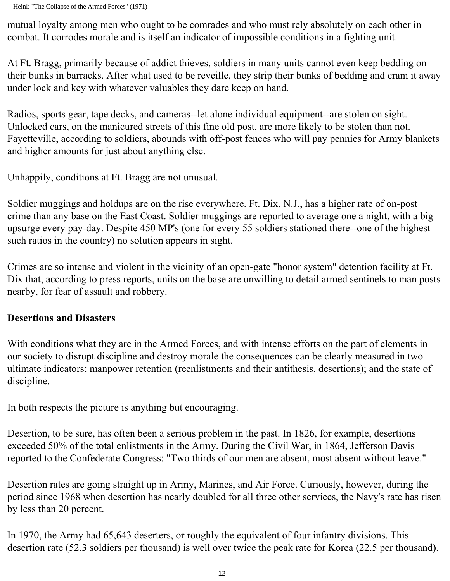mutual loyalty among men who ought to be comrades and who must rely absolutely on each other in combat. It corrodes morale and is itself an indicator of impossible conditions in a fighting unit.

At Ft. Bragg, primarily because of addict thieves, soldiers in many units cannot even keep bedding on their bunks in barracks. After what used to be reveille, they strip their bunks of bedding and cram it away under lock and key with whatever valuables they dare keep on hand.

Radios, sports gear, tape decks, and cameras--let alone individual equipment--are stolen on sight. Unlocked cars, on the manicured streets of this fine old post, are more likely to be stolen than not. Fayetteville, according to soldiers, abounds with off-post fences who will pay pennies for Army blankets and higher amounts for just about anything else.

Unhappily, conditions at Ft. Bragg are not unusual.

Soldier muggings and holdups are on the rise everywhere. Ft. Dix, N.J., has a higher rate of on-post crime than any base on the East Coast. Soldier muggings are reported to average one a night, with a big upsurge every pay-day. Despite 450 MP's (one for every 55 soldiers stationed there--one of the highest such ratios in the country) no solution appears in sight.

Crimes are so intense and violent in the vicinity of an open-gate "honor system" detention facility at Ft. Dix that, according to press reports, units on the base are unwilling to detail armed sentinels to man posts nearby, for fear of assault and robbery.

#### **Desertions and Disasters**

With conditions what they are in the Armed Forces, and with intense efforts on the part of elements in our society to disrupt discipline and destroy morale the consequences can be clearly measured in two ultimate indicators: manpower retention (reenlistments and their antithesis, desertions); and the state of discipline.

In both respects the picture is anything but encouraging.

Desertion, to be sure, has often been a serious problem in the past. In 1826, for example, desertions exceeded 50% of the total enlistments in the Army. During the Civil War, in 1864, Jefferson Davis reported to the Confederate Congress: "Two thirds of our men are absent, most absent without leave."

Desertion rates are going straight up in Army, Marines, and Air Force. Curiously, however, during the period since 1968 when desertion has nearly doubled for all three other services, the Navy's rate has risen by less than 20 percent.

In 1970, the Army had 65,643 deserters, or roughly the equivalent of four infantry divisions. This desertion rate (52.3 soldiers per thousand) is well over twice the peak rate for Korea (22.5 per thousand).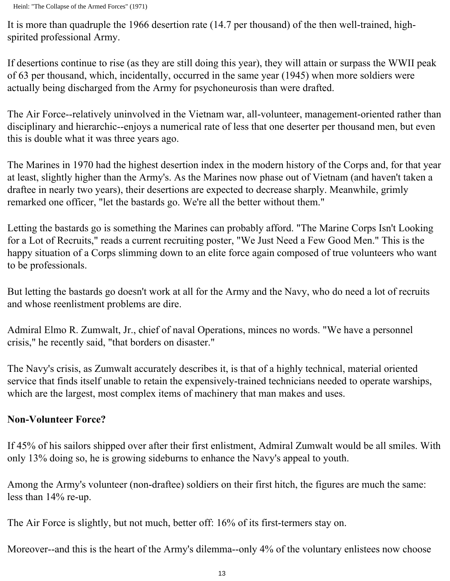It is more than quadruple the 1966 desertion rate (14.7 per thousand) of the then well-trained, highspirited professional Army.

If desertions continue to rise (as they are still doing this year), they will attain or surpass the WWII peak of 63 per thousand, which, incidentally, occurred in the same year (1945) when more soldiers were actually being discharged from the Army for psychoneurosis than were drafted.

The Air Force--relatively uninvolved in the Vietnam war, all-volunteer, management-oriented rather than disciplinary and hierarchic--enjoys a numerical rate of less that one deserter per thousand men, but even this is double what it was three years ago.

The Marines in 1970 had the highest desertion index in the modern history of the Corps and, for that year at least, slightly higher than the Army's. As the Marines now phase out of Vietnam (and haven't taken a draftee in nearly two years), their desertions are expected to decrease sharply. Meanwhile, grimly remarked one officer, "let the bastards go. We're all the better without them."

Letting the bastards go is something the Marines can probably afford. "The Marine Corps Isn't Looking for a Lot of Recruits," reads a current recruiting poster, "We Just Need a Few Good Men." This is the happy situation of a Corps slimming down to an elite force again composed of true volunteers who want to be professionals.

But letting the bastards go doesn't work at all for the Army and the Navy, who do need a lot of recruits and whose reenlistment problems are dire.

Admiral Elmo R. Zumwalt, Jr., chief of naval Operations, minces no words. "We have a personnel crisis," he recently said, "that borders on disaster."

The Navy's crisis, as Zumwalt accurately describes it, is that of a highly technical, material oriented service that finds itself unable to retain the expensively-trained technicians needed to operate warships, which are the largest, most complex items of machinery that man makes and uses.

#### **Non-Volunteer Force?**

If 45% of his sailors shipped over after their first enlistment, Admiral Zumwalt would be all smiles. With only 13% doing so, he is growing sideburns to enhance the Navy's appeal to youth.

Among the Army's volunteer (non-draftee) soldiers on their first hitch, the figures are much the same: less than 14% re-up.

The Air Force is slightly, but not much, better off: 16% of its first-termers stay on.

Moreover--and this is the heart of the Army's dilemma--only 4% of the voluntary enlistees now choose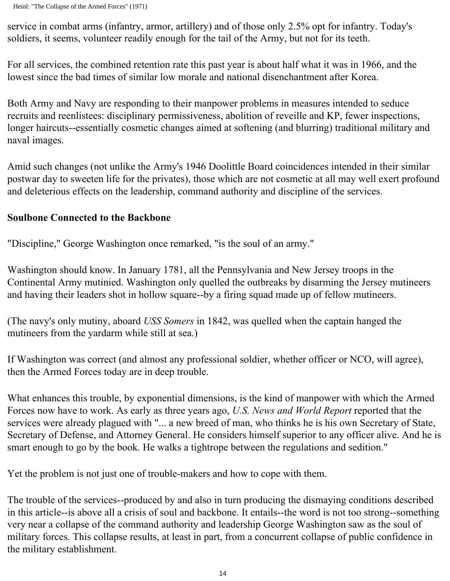service in combat arms (infantry, armor, artillery) and of those only 2.5% opt for infantry. Today's soldiers, it seems, volunteer readily enough for the tail of the Army, but not for its teeth.

For all services, the combined retention rate this past year is about half what it was in 1966, and the lowest since the bad times of similar low morale and national disenchantment after Korea.

Both Army and Navy are responding to their manpower problems in measures intended to seduce recruits and reenlistees: disciplinary permissiveness, abolition of reveille and KP, fewer inspections, longer haircuts--essentially cosmetic changes aimed at softening (and blurring) traditional military and naval images.

Amid such changes (not unlike the Army's 1946 Doolittle Board coincidences intended in their similar postwar day to sweeten life for the privates), those which are not cosmetic at all may well exert profound and deleterious effects on the leadership, command authority and discipline of the services.

#### **Soulbone Connected to the Backbone**

"Discipline," George Washington once remarked, "is the soul of an army."

Washington should know. In January 1781, all the Pennsylvania and New Jersey troops in the Continental Army mutinied. Washington only quelled the outbreaks by disarming the Jersey mutineers and having their leaders shot in hollow square--by a firing squad made up of fellow mutineers.

(The navy's only mutiny, aboard *USS Somers* in 1842, was quelled when the captain hanged the mutineers from the yardarm while still at sea.)

If Washington was correct (and almost any professional soldier, whether officer or NCO, will agree), then the Armed Forces today are in deep trouble.

What enhances this trouble, by exponential dimensions, is the kind of manpower with which the Armed Forces now have to work. As early as three years ago, *U.S. News and World Report* reported that the services were already plagued with "... a new breed of man, who thinks he is his own Secretary of State, Secretary of Defense, and Attorney General. He considers himself superior to any officer alive. And he is smart enough to go by the book. He walks a tightrope between the regulations and sedition."

Yet the problem is not just one of trouble-makers and how to cope with them.

The trouble of the services--produced by and also in turn producing the dismaying conditions described in this article--is above all a crisis of soul and backbone. It entails--the word is not too strong--something very near a collapse of the command authority and leadership George Washington saw as the soul of military forces. This collapse results, at least in part, from a concurrent collapse of public confidence in the military establishment.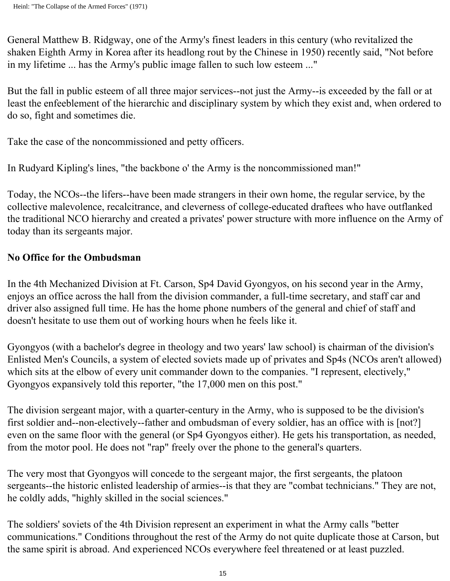General Matthew B. Ridgway, one of the Army's finest leaders in this century (who revitalized the shaken Eighth Army in Korea after its headlong rout by the Chinese in 1950) recently said, "Not before in my lifetime ... has the Army's public image fallen to such low esteem ..."

But the fall in public esteem of all three major services--not just the Army--is exceeded by the fall or at least the enfeeblement of the hierarchic and disciplinary system by which they exist and, when ordered to do so, fight and sometimes die.

Take the case of the noncommissioned and petty officers.

In Rudyard Kipling's lines, "the backbone o' the Army is the noncommissioned man!"

Today, the NCOs--the lifers--have been made strangers in their own home, the regular service, by the collective malevolence, recalcitrance, and cleverness of college-educated draftees who have outflanked the traditional NCO hierarchy and created a privates' power structure with more influence on the Army of today than its sergeants major.

#### **No Office for the Ombudsman**

In the 4th Mechanized Division at Ft. Carson, Sp4 David Gyongyos, on his second year in the Army, enjoys an office across the hall from the division commander, a full-time secretary, and staff car and driver also assigned full time. He has the home phone numbers of the general and chief of staff and doesn't hesitate to use them out of working hours when he feels like it.

Gyongyos (with a bachelor's degree in theology and two years' law school) is chairman of the division's Enlisted Men's Councils, a system of elected soviets made up of privates and Sp4s (NCOs aren't allowed) which sits at the elbow of every unit commander down to the companies. "I represent, electively," Gyongyos expansively told this reporter, "the 17,000 men on this post."

The division sergeant major, with a quarter-century in the Army, who is supposed to be the division's first soldier and--non-electively--father and ombudsman of every soldier, has an office with is [not?] even on the same floor with the general (or Sp4 Gyongyos either). He gets his transportation, as needed, from the motor pool. He does not "rap" freely over the phone to the general's quarters.

The very most that Gyongyos will concede to the sergeant major, the first sergeants, the platoon sergeants--the historic enlisted leadership of armies--is that they are "combat technicians." They are not, he coldly adds, "highly skilled in the social sciences."

The soldiers' soviets of the 4th Division represent an experiment in what the Army calls "better communications." Conditions throughout the rest of the Army do not quite duplicate those at Carson, but the same spirit is abroad. And experienced NCOs everywhere feel threatened or at least puzzled.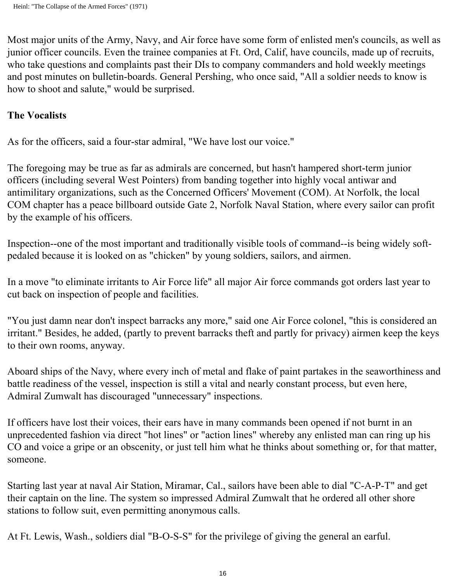Most major units of the Army, Navy, and Air force have some form of enlisted men's councils, as well as junior officer councils. Even the trainee companies at Ft. Ord, Calif, have councils, made up of recruits, who take questions and complaints past their DIs to company commanders and hold weekly meetings and post minutes on bulletin-boards. General Pershing, who once said, "All a soldier needs to know is how to shoot and salute," would be surprised.

#### **The Vocalists**

As for the officers, said a four-star admiral, "We have lost our voice."

The foregoing may be true as far as admirals are concerned, but hasn't hampered short-term junior officers (including several West Pointers) from banding together into highly vocal antiwar and antimilitary organizations, such as the Concerned Officers' Movement (COM). At Norfolk, the local COM chapter has a peace billboard outside Gate 2, Norfolk Naval Station, where every sailor can profit by the example of his officers.

Inspection--one of the most important and traditionally visible tools of command--is being widely softpedaled because it is looked on as "chicken" by young soldiers, sailors, and airmen.

In a move "to eliminate irritants to Air Force life" all major Air force commands got orders last year to cut back on inspection of people and facilities.

"You just damn near don't inspect barracks any more," said one Air Force colonel, "this is considered an irritant." Besides, he added, (partly to prevent barracks theft and partly for privacy) airmen keep the keys to their own rooms, anyway.

Aboard ships of the Navy, where every inch of metal and flake of paint partakes in the seaworthiness and battle readiness of the vessel, inspection is still a vital and nearly constant process, but even here, Admiral Zumwalt has discouraged "unnecessary" inspections.

If officers have lost their voices, their ears have in many commands been opened if not burnt in an unprecedented fashion via direct "hot lines" or "action lines" whereby any enlisted man can ring up his CO and voice a gripe or an obscenity, or just tell him what he thinks about something or, for that matter, someone.

Starting last year at naval Air Station, Miramar, Cal., sailors have been able to dial "C-A-P-T" and get their captain on the line. The system so impressed Admiral Zumwalt that he ordered all other shore stations to follow suit, even permitting anonymous calls.

At Ft. Lewis, Wash., soldiers dial "B-O-S-S" for the privilege of giving the general an earful.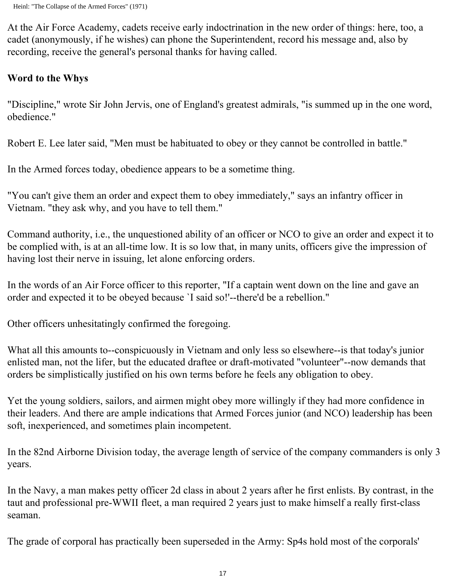At the Air Force Academy, cadets receive early indoctrination in the new order of things: here, too, a cadet (anonymously, if he wishes) can phone the Superintendent, record his message and, also by recording, receive the general's personal thanks for having called.

## **Word to the Whys**

"Discipline," wrote Sir John Jervis, one of England's greatest admirals, "is summed up in the one word, obedience."

Robert E. Lee later said, "Men must be habituated to obey or they cannot be controlled in battle."

In the Armed forces today, obedience appears to be a sometime thing.

"You can't give them an order and expect them to obey immediately," says an infantry officer in Vietnam. "they ask why, and you have to tell them."

Command authority, i.e., the unquestioned ability of an officer or NCO to give an order and expect it to be complied with, is at an all-time low. It is so low that, in many units, officers give the impression of having lost their nerve in issuing, let alone enforcing orders.

In the words of an Air Force officer to this reporter, "If a captain went down on the line and gave an order and expected it to be obeyed because `I said so!'--there'd be a rebellion."

Other officers unhesitatingly confirmed the foregoing.

What all this amounts to--conspicuously in Vietnam and only less so elsewhere--is that today's junior enlisted man, not the lifer, but the educated draftee or draft-motivated "volunteer"--now demands that orders be simplistically justified on his own terms before he feels any obligation to obey.

Yet the young soldiers, sailors, and airmen might obey more willingly if they had more confidence in their leaders. And there are ample indications that Armed Forces junior (and NCO) leadership has been soft, inexperienced, and sometimes plain incompetent.

In the 82nd Airborne Division today, the average length of service of the company commanders is only 3 years.

In the Navy, a man makes petty officer 2d class in about 2 years after he first enlists. By contrast, in the taut and professional pre-WWII fleet, a man required 2 years just to make himself a really first-class seaman.

The grade of corporal has practically been superseded in the Army: Sp4s hold most of the corporals'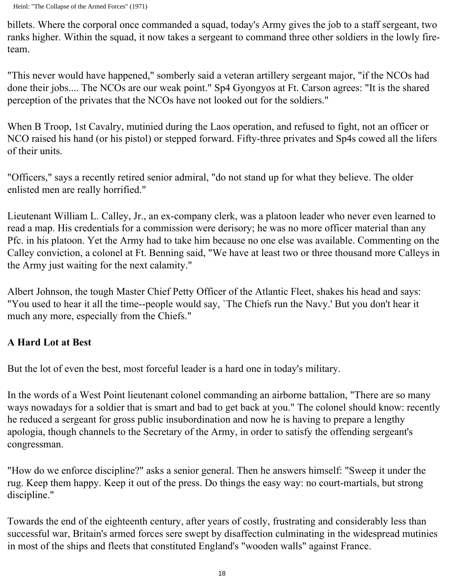billets. Where the corporal once commanded a squad, today's Army gives the job to a staff sergeant, two ranks higher. Within the squad, it now takes a sergeant to command three other soldiers in the lowly fireteam.

"This never would have happened," somberly said a veteran artillery sergeant major, "if the NCOs had done their jobs.... The NCOs are our weak point." Sp4 Gyongyos at Ft. Carson agrees: "It is the shared perception of the privates that the NCOs have not looked out for the soldiers."

When B Troop, 1st Cavalry, mutinied during the Laos operation, and refused to fight, not an officer or NCO raised his hand (or his pistol) or stepped forward. Fifty-three privates and Sp4s cowed all the lifers of their units.

"Officers," says a recently retired senior admiral, "do not stand up for what they believe. The older enlisted men are really horrified."

Lieutenant William L. Calley, Jr., an ex-company clerk, was a platoon leader who never even learned to read a map. His credentials for a commission were derisory; he was no more officer material than any Pfc. in his platoon. Yet the Army had to take him because no one else was available. Commenting on the Calley conviction, a colonel at Ft. Benning said, "We have at least two or three thousand more Calleys in the Army just waiting for the next calamity."

Albert Johnson, the tough Master Chief Petty Officer of the Atlantic Fleet, shakes his head and says: "You used to hear it all the time--people would say, `The Chiefs run the Navy.' But you don't hear it much any more, especially from the Chiefs."

# **A Hard Lot at Best**

But the lot of even the best, most forceful leader is a hard one in today's military.

In the words of a West Point lieutenant colonel commanding an airborne battalion, "There are so many ways nowadays for a soldier that is smart and bad to get back at you." The colonel should know: recently he reduced a sergeant for gross public insubordination and now he is having to prepare a lengthy apologia, though channels to the Secretary of the Army, in order to satisfy the offending sergeant's congressman.

"How do we enforce discipline?" asks a senior general. Then he answers himself: "Sweep it under the rug. Keep them happy. Keep it out of the press. Do things the easy way: no court-martials, but strong discipline."

Towards the end of the eighteenth century, after years of costly, frustrating and considerably less than successful war, Britain's armed forces sere swept by disaffection culminating in the widespread mutinies in most of the ships and fleets that constituted England's "wooden walls" against France.